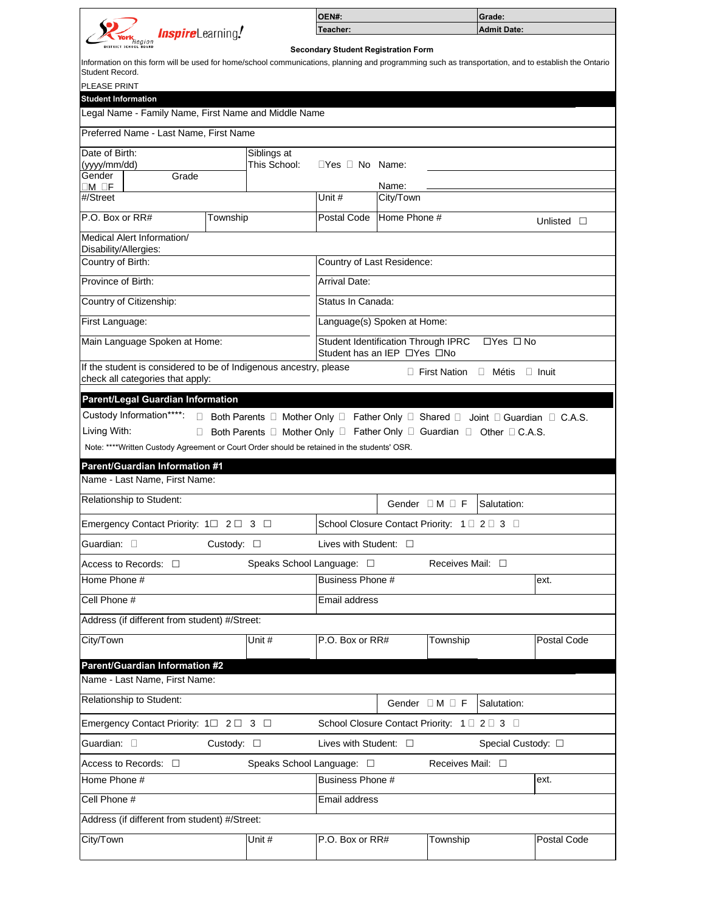

| <b>OEN#:</b> | <b>Grade:</b> |  |  |  |
|--------------|---------------|--|--|--|
| Teacher:     | Admit Date:   |  |  |  |

**Secondary Student Registration Form** 

Information on this form will be used for home/school communications, planning and programming such as transportation, and to establish the Ontario Student Record.

| <b>PLEASE PRINT</b>                   |                                                                                                       |                    |                                                                                                             |                                                                                                   |              |                     |                 |                    |  |
|---------------------------------------|-------------------------------------------------------------------------------------------------------|--------------------|-------------------------------------------------------------------------------------------------------------|---------------------------------------------------------------------------------------------------|--------------|---------------------|-----------------|--------------------|--|
| <b>Student Information</b>            |                                                                                                       |                    |                                                                                                             |                                                                                                   |              |                     |                 |                    |  |
|                                       | Legal Name - Family Name, First Name and Middle Name                                                  |                    |                                                                                                             |                                                                                                   |              |                     |                 |                    |  |
|                                       | Preferred Name - Last Name, First Name                                                                |                    |                                                                                                             |                                                                                                   |              |                     |                 |                    |  |
| Date of Birth:                        |                                                                                                       |                    | Siblings at                                                                                                 |                                                                                                   |              |                     |                 |                    |  |
| (yyyy/mm/dd)                          |                                                                                                       |                    | This School:                                                                                                | $\Box$ Yes $\Box$ No Name:                                                                        |              |                     |                 |                    |  |
| Gender                                | Grade                                                                                                 |                    |                                                                                                             |                                                                                                   |              |                     |                 |                    |  |
| DM OF                                 |                                                                                                       |                    |                                                                                                             |                                                                                                   | Name:        |                     |                 |                    |  |
| #/Street                              |                                                                                                       |                    |                                                                                                             | Unit #                                                                                            | City/Town    |                     |                 |                    |  |
| P.O. Box or RR#                       |                                                                                                       | Township           |                                                                                                             | <b>Postal Code</b>                                                                                | Home Phone # | Unlisted<br>$\Box$  |                 |                    |  |
| Disability/Allergies:                 | Medical Alert Information/                                                                            |                    |                                                                                                             |                                                                                                   |              |                     |                 |                    |  |
| Country of Birth:                     |                                                                                                       |                    |                                                                                                             | Country of Last Residence:                                                                        |              |                     |                 |                    |  |
| <b>Province of Birth:</b>             |                                                                                                       |                    |                                                                                                             | <b>Arrival Date:</b>                                                                              |              |                     |                 |                    |  |
|                                       | Country of Citizenship:                                                                               |                    |                                                                                                             | Status In Canada:                                                                                 |              |                     |                 |                    |  |
| First Language:                       |                                                                                                       |                    |                                                                                                             | Language(s) Spoken at Home:                                                                       |              |                     |                 |                    |  |
|                                       | Main Language Spoken at Home:                                                                         |                    |                                                                                                             | <b>Student Identification Through IPRC</b><br>$\Box$ Yes $\Box$ No<br>Student has an IEP □Yes □No |              |                     |                 |                    |  |
|                                       | If the student is considered to be of Indigenous ancestry, please<br>check all categories that apply: |                    |                                                                                                             |                                                                                                   |              | <b>First Nation</b> | $\Box$<br>Métis | $\Box$ Inuit       |  |
|                                       |                                                                                                       |                    |                                                                                                             |                                                                                                   |              |                     |                 |                    |  |
|                                       | Parent/Legal Guardian Information<br>Custody Information****:                                         |                    | Both Parents $\Box$ Mother Only $\Box$ Father Only $\Box$ Shared $\Box$ Joint $\Box$ Guardian $\Box$ C.A.S. |                                                                                                   |              |                     |                 |                    |  |
| Living With:                          |                                                                                                       |                    | Both Parents □ Mother Only □ Father Only □ Guardian □ Other □ C.A.S.                                        |                                                                                                   |              |                     |                 |                    |  |
|                                       | Note: ****Written Custody Agreement or Court Order should be retained in the students' OSR.           |                    |                                                                                                             |                                                                                                   |              |                     |                 |                    |  |
|                                       | <b>Parent/Guardian Information #1</b>                                                                 |                    |                                                                                                             |                                                                                                   |              |                     |                 |                    |  |
|                                       | Name - Last Name, First Name:                                                                         |                    |                                                                                                             |                                                                                                   |              |                     |                 |                    |  |
|                                       | Relationship to Student:                                                                              |                    | Gender $\Box$ M $\Box$ F<br>Salutation:                                                                     |                                                                                                   |              |                     |                 |                    |  |
| Emergency Contact Priority: 1□ 2□ 3 □ |                                                                                                       |                    |                                                                                                             | School Closure Contact Priority: 1 □ 2 □ 3 □                                                      |              |                     |                 |                    |  |
| Guardian: $\square$                   |                                                                                                       | Custody: $\square$ | Lives with Student: $\square$                                                                               |                                                                                                   |              |                     |                 |                    |  |
|                                       | Speaks School Language: □<br>Receives Mail: $\square$<br>Access to Records: $\square$                 |                    |                                                                                                             |                                                                                                   |              |                     |                 |                    |  |
| Home Phone #                          |                                                                                                       |                    |                                                                                                             | Business Phone #<br>ext.                                                                          |              |                     |                 |                    |  |
| Cell Phone #                          |                                                                                                       |                    | <b>Email address</b>                                                                                        |                                                                                                   |              |                     |                 |                    |  |
|                                       | Address (if different from student) #/Street:                                                         |                    |                                                                                                             |                                                                                                   |              |                     |                 |                    |  |
| City/Town                             |                                                                                                       |                    | Unit #                                                                                                      | P.O. Box or RR#                                                                                   |              | Township            |                 | <b>Postal Code</b> |  |
|                                       | <b>Parent/Guardian Information #2</b>                                                                 |                    |                                                                                                             |                                                                                                   |              |                     |                 |                    |  |
|                                       | Name - Last Name, First Name:                                                                         |                    |                                                                                                             |                                                                                                   |              |                     |                 |                    |  |
|                                       | <b>Relationship to Student:</b>                                                                       |                    | Gender $\Box$ M $\Box$ F<br>Salutation:                                                                     |                                                                                                   |              |                     |                 |                    |  |

| Emergency Contact Priority: $1 \square 2 \square 3 \square$ |                           | School Closure Contact Priority: 1 □ 2 □ 3 □ |                            |                    |  |  |  |
|-------------------------------------------------------------|---------------------------|----------------------------------------------|----------------------------|--------------------|--|--|--|
| Guardian: □<br>Custody: $\Box$                              |                           | Lives with Student: $\square$                | Special Custody: $\square$ |                    |  |  |  |
| $ $ Access to Records: $\Box$                               | Speaks School Language: □ |                                              | Receives Mail: $\square$   |                    |  |  |  |
| Home Phone #                                                |                           | Business Phone #                             |                            | ext.               |  |  |  |
| Cell Phone #                                                |                           | Email address                                |                            |                    |  |  |  |
| Address (if different from student) #/Street:               |                           |                                              |                            |                    |  |  |  |
| City/Town                                                   | Unit #                    | $P.O.$ Box or $RR#$                          | Township                   | <b>Postal Code</b> |  |  |  |
|                                                             |                           |                                              |                            |                    |  |  |  |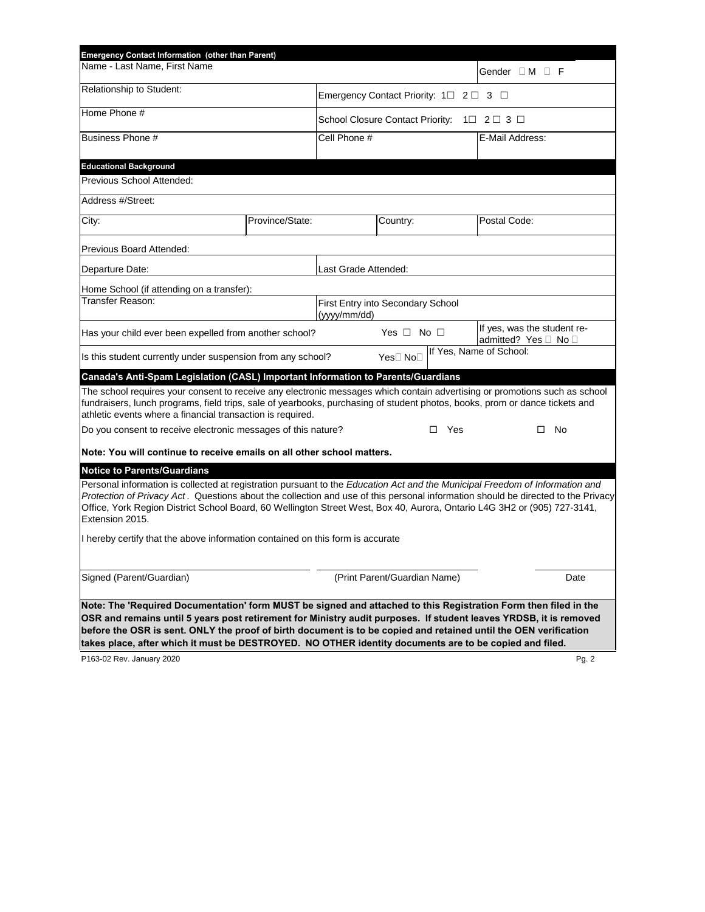| <b>Emergency Contact Information (other than Parent)</b>                                                                                                                                                                                                                                                                                                                                                        |                                                             |                                                   |                                    |     |                                                     |  |  |
|-----------------------------------------------------------------------------------------------------------------------------------------------------------------------------------------------------------------------------------------------------------------------------------------------------------------------------------------------------------------------------------------------------------------|-------------------------------------------------------------|---------------------------------------------------|------------------------------------|-----|-----------------------------------------------------|--|--|
| Name - Last Name, First Name                                                                                                                                                                                                                                                                                                                                                                                    |                                                             |                                                   |                                    |     | Gender $\square$ M $\square$ F                      |  |  |
| <b>Relationship to Student:</b>                                                                                                                                                                                                                                                                                                                                                                                 | Emergency Contact Priority: $1 \square 2 \square 3 \square$ |                                                   |                                    |     |                                                     |  |  |
| Home Phone #                                                                                                                                                                                                                                                                                                                                                                                                    |                                                             | School Closure Contact Priority: 1□ 2□ 3 □        |                                    |     |                                                     |  |  |
| <b>Business Phone #</b>                                                                                                                                                                                                                                                                                                                                                                                         |                                                             | Cell Phone #                                      |                                    |     | E-Mail Address:                                     |  |  |
|                                                                                                                                                                                                                                                                                                                                                                                                                 |                                                             |                                                   |                                    |     |                                                     |  |  |
| <b>Educational Background</b><br>Previous School Attended:                                                                                                                                                                                                                                                                                                                                                      |                                                             |                                                   |                                    |     |                                                     |  |  |
| Address #/Street:                                                                                                                                                                                                                                                                                                                                                                                               |                                                             |                                                   |                                    |     |                                                     |  |  |
|                                                                                                                                                                                                                                                                                                                                                                                                                 |                                                             |                                                   |                                    |     |                                                     |  |  |
| City:                                                                                                                                                                                                                                                                                                                                                                                                           | Province/State:                                             |                                                   | Country:                           |     | Postal Code:                                        |  |  |
| <b>Previous Board Attended:</b>                                                                                                                                                                                                                                                                                                                                                                                 |                                                             |                                                   |                                    |     |                                                     |  |  |
| Departure Date:                                                                                                                                                                                                                                                                                                                                                                                                 |                                                             | Last Grade Attended:                              |                                    |     |                                                     |  |  |
| Home School (if attending on a transfer):                                                                                                                                                                                                                                                                                                                                                                       |                                                             |                                                   |                                    |     |                                                     |  |  |
| <b>Transfer Reason:</b>                                                                                                                                                                                                                                                                                                                                                                                         |                                                             | First Entry into Secondary School<br>(yyyy/mm/dd) |                                    |     |                                                     |  |  |
| Has your child ever been expelled from another school?                                                                                                                                                                                                                                                                                                                                                          |                                                             |                                                   | Yes $\Box$ No $\Box$               |     | If yes, was the student re-<br>admitted? Yes □ No □ |  |  |
| Is this student currently under suspension from any school?                                                                                                                                                                                                                                                                                                                                                     |                                                             |                                                   | Yes <sup>[]</sup> No <sup>[]</sup> |     | If Yes, Name of School:                             |  |  |
| Canada's Anti-Spam Legislation (CASL) Important Information to Parents/Guardians                                                                                                                                                                                                                                                                                                                                |                                                             |                                                   |                                    |     |                                                     |  |  |
| The school requires your consent to receive any electronic messages which contain advertising or promotions such as school<br>fundraisers, lunch programs, field trips, sale of yearbooks, purchasing of student photos, books, prom or dance tickets and<br>athletic events where a financial transaction is required.                                                                                         |                                                             |                                                   |                                    |     |                                                     |  |  |
| Do you consent to receive electronic messages of this nature?                                                                                                                                                                                                                                                                                                                                                   |                                                             |                                                   |                                    | Yes | No<br>$\Box$                                        |  |  |
| Note: You will continue to receive emails on all other school matters.                                                                                                                                                                                                                                                                                                                                          |                                                             |                                                   |                                    |     |                                                     |  |  |
| <b>Notice to Parents/Guardians</b>                                                                                                                                                                                                                                                                                                                                                                              |                                                             |                                                   |                                    |     |                                                     |  |  |
| Personal information is collected at registration pursuant to the Education Act and the Municipal Freedom of Information and<br>Protection of Privacy Act. Questions about the collection and use of this personal information should be directed to the Privacy<br>Office, York Region District School Board, 60 Wellington Street West, Box 40, Aurora, Ontario L4G 3H2 or (905) 727-3141,<br>Extension 2015. |                                                             |                                                   |                                    |     |                                                     |  |  |
| I hereby certify that the above information contained on this form is accurate                                                                                                                                                                                                                                                                                                                                  |                                                             |                                                   |                                    |     |                                                     |  |  |
| Signed (Parent/Guardian)                                                                                                                                                                                                                                                                                                                                                                                        |                                                             |                                                   | (Print Parent/Guardian Name)       |     | Date                                                |  |  |
| Note: The 'Required Documentation' form MUST be signed and attached to this Registration Form then filed in the<br>OSR and remains until 5 years post retirement for Ministry audit purposes. If student leaves YRDSB, it is removed<br>before the OSR is sent. ONLY the proof of birth document is to be copied and retained until the OEN verification                                                        |                                                             |                                                   |                                    |     |                                                     |  |  |

**takes place, after which it must be DESTROYED. NO OTHER identity documents are to be copied and filed.**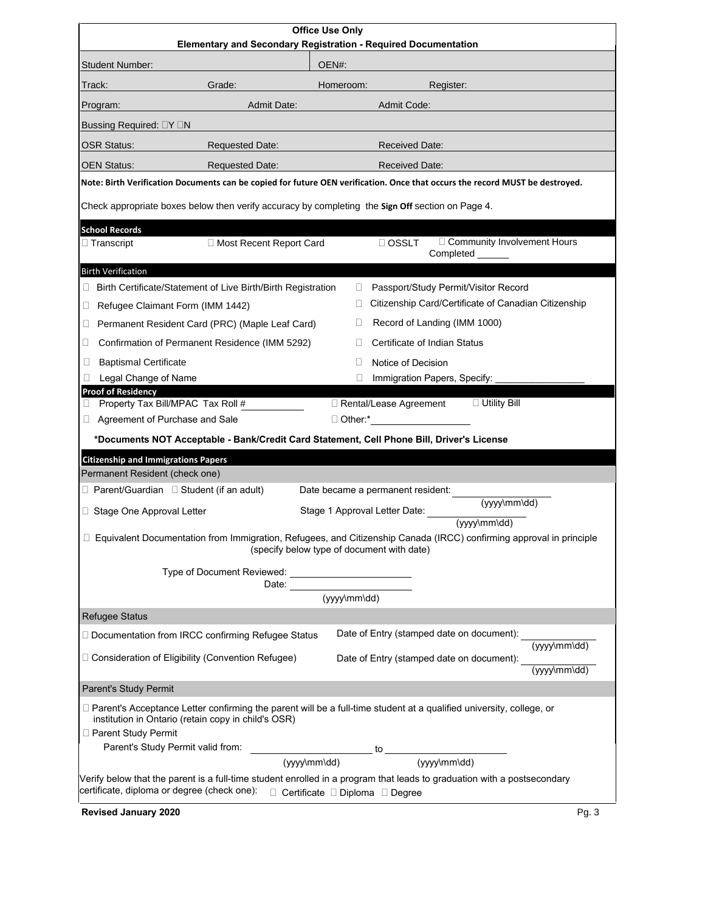Parent's Study Permit valid from: institution in Ontario (retain copy in child's OSR) □ Parent Study Permit (yyyy\mm\dd)  $\_$  to  $\_$ (yyyy\mm\dd)  $\big\|$ Verify below that the parent is a full-time student enrolled in a program that leads to graduation with a postsecondary certificate, diploma or degree (check one): Certificate Diploma Degree

**Revised January 2020** Pg. 3

| <b>Office Use Only</b><br><b>Elementary and Secondary Registration - Required Documentation</b> |                                                                                                                              |                                                                                                                                                                   |  |  |  |  |  |  |
|-------------------------------------------------------------------------------------------------|------------------------------------------------------------------------------------------------------------------------------|-------------------------------------------------------------------------------------------------------------------------------------------------------------------|--|--|--|--|--|--|
| OEN#:<br><b>Student Number:</b>                                                                 |                                                                                                                              |                                                                                                                                                                   |  |  |  |  |  |  |
| Track:                                                                                          | Grade:                                                                                                                       | Homeroom:<br>Register:                                                                                                                                            |  |  |  |  |  |  |
| Program:                                                                                        | <b>Admit Date:</b>                                                                                                           | <b>Admit Code:</b>                                                                                                                                                |  |  |  |  |  |  |
| <b>Bussing Required: □Y □N</b>                                                                  |                                                                                                                              |                                                                                                                                                                   |  |  |  |  |  |  |
| <b>OSR Status:</b>                                                                              | <b>Requested Date:</b>                                                                                                       | <b>Received Date:</b>                                                                                                                                             |  |  |  |  |  |  |
|                                                                                                 |                                                                                                                              |                                                                                                                                                                   |  |  |  |  |  |  |
| <b>OEN Status:</b>                                                                              | <b>Requested Date:</b>                                                                                                       | <b>Received Date:</b><br>Note: Birth Verification Documents can be copied for future OEN verification. Once that occurs the record MUST be destroyed.             |  |  |  |  |  |  |
|                                                                                                 |                                                                                                                              | Check appropriate boxes below then verify accuracy by completing the Sign Off section on Page 4.                                                                  |  |  |  |  |  |  |
| <b>School Records</b><br>$\Box$ Transcript                                                      | □ Most Recent Report Card                                                                                                    | □ Community Involvement Hours<br>$\Box$ OSSLT<br>Completed ______                                                                                                 |  |  |  |  |  |  |
| <b>Birth Verification</b>                                                                       |                                                                                                                              |                                                                                                                                                                   |  |  |  |  |  |  |
| ⊔                                                                                               | Birth Certificate/Statement of Live Birth/Birth Registration                                                                 | Passport/Study Permit/Visitor Record<br>$\Box$                                                                                                                    |  |  |  |  |  |  |
| Refugee Claimant Form (IMM 1442)<br>$\Box$                                                      |                                                                                                                              | Citizenship Card/Certificate of Canadian Citizenship                                                                                                              |  |  |  |  |  |  |
| ⊔                                                                                               | Permanent Resident Card (PRC) (Maple Leaf Card)                                                                              | Record of Landing (IMM 1000)                                                                                                                                      |  |  |  |  |  |  |
|                                                                                                 | Confirmation of Permanent Residence (IMM 5292)                                                                               | <b>Certificate of Indian Status</b>                                                                                                                               |  |  |  |  |  |  |
| <b>Baptismal Certificate</b>                                                                    |                                                                                                                              | Notice of Decision                                                                                                                                                |  |  |  |  |  |  |
| <b>Legal Change of Name</b><br><b>Proof of Residency</b>                                        |                                                                                                                              | $\Box$<br>Immigration Papers, Specify:                                                                                                                            |  |  |  |  |  |  |
| Property Tax Bill/MPAC Tax Roll #                                                               |                                                                                                                              | $\Box$ Utility Bill<br>□ Rental/Lease Agreement                                                                                                                   |  |  |  |  |  |  |
| Agreement of Purchase and Sale                                                                  |                                                                                                                              | □ Other:* <u>__________________</u>                                                                                                                               |  |  |  |  |  |  |
|                                                                                                 |                                                                                                                              | *Documents NOT Acceptable - Bank/Credit Card Statement, Cell Phone Bill, Driver's License                                                                         |  |  |  |  |  |  |
| <b>Citizenship and Immigrations Papers</b>                                                      |                                                                                                                              |                                                                                                                                                                   |  |  |  |  |  |  |
| Permanent Resident (check one)                                                                  |                                                                                                                              |                                                                                                                                                                   |  |  |  |  |  |  |
| $\Box$ Parent/Guardian $\Box$ Student (if an adult)                                             |                                                                                                                              | Date became a permanent resident:<br>$(yyyy\mbox{\scriptsize\textsf{mm}}$                                                                                         |  |  |  |  |  |  |
| □ Stage One Approval Letter                                                                     |                                                                                                                              |                                                                                                                                                                   |  |  |  |  |  |  |
|                                                                                                 |                                                                                                                              | Equivalent Documentation from Immigration, Refugees, and Citizenship Canada (IRCC) confirming approval in principle<br>(specify below type of document with date) |  |  |  |  |  |  |
|                                                                                                 | Type of Document Reviewed: ____________________________                                                                      |                                                                                                                                                                   |  |  |  |  |  |  |
|                                                                                                 |                                                                                                                              |                                                                                                                                                                   |  |  |  |  |  |  |
|                                                                                                 |                                                                                                                              | $(yyy\mbox{/mm\ddot d})$                                                                                                                                          |  |  |  |  |  |  |
| <b>Refugee Status</b>                                                                           |                                                                                                                              |                                                                                                                                                                   |  |  |  |  |  |  |
|                                                                                                 | Date of Entry (stamped date on document):<br>□ Documentation from IRCC confirming Refugee Status<br>$(yyy\sqrt{mm\ddot{d}})$ |                                                                                                                                                                   |  |  |  |  |  |  |
|                                                                                                 | $\Box$ Consideration of Eligibility (Convention Refugee)                                                                     | Date of Entry (stamped date on document):<br>$(yyy\sqrt{mm\ddot{dd}})$                                                                                            |  |  |  |  |  |  |
| <b>Parent's Study Permit</b>                                                                    |                                                                                                                              |                                                                                                                                                                   |  |  |  |  |  |  |
|                                                                                                 |                                                                                                                              | □ Parent's Acceptance Letter confirming the parent will be a full-time student at a qualified university, college, or                                             |  |  |  |  |  |  |